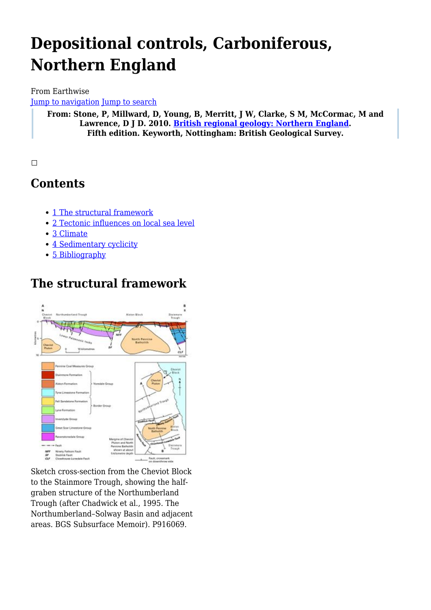# **Depositional controls, Carboniferous, Northern England**

#### From Earthwise

[Jump to navigation](#page--1-0) [Jump to search](#page--1-0)

**From: Stone, P, Millward, D, Young, B, Merritt, J W, Clarke, S M, McCormac, M and Lawrence, D J D. 2010. [British regional geology: Northern England.](http://earthwise.bgs.ac.uk/index.php/British_regional_geology:_Northern_England) Fifth edition. Keyworth, Nottingham: British Geological Survey.**

 $\Box$ 

# **Contents**

- [1](#page--1-0) [The structural framework](#page--1-0)
- [2](#page--1-0) [Tectonic influences on local sea level](#page--1-0)
- [3](#page--1-0) [Climate](#page--1-0)
- [4](#page--1-0) [Sedimentary cyclicity](#page--1-0)
- [5](#page--1-0) [Bibliography](#page--1-0)

# **The structural framework**



Sketch cross-section from the Cheviot Block to the Stainmore Trough, showing the halfgraben structure of the Northumberland Trough (after Chadwick et al., 1995. The Northumberland–Solway Basin and adjacent areas. BGS Subsurface Memoir). P916069.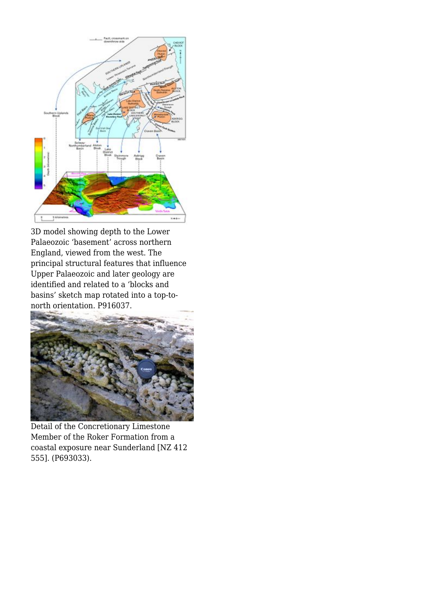

3D model showing depth to the Lower Palaeozoic 'basement' across northern England, viewed from the west. The principal structural features that influence Upper Palaeozoic and later geology are identified and related to a 'blocks and basins' sketch map rotated into a top-tonorth orientation. P916037.



Detail of the Concretionary Limestone Member of the Roker Formation from a coastal exposure near Sunderland [NZ 412 555]. (P693033).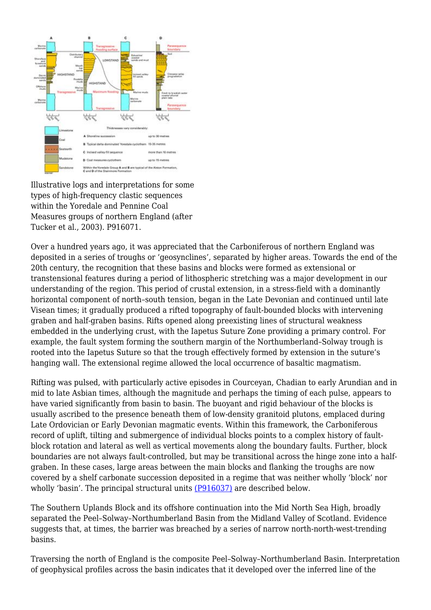

Illustrative logs and interpretations for some types of high-frequency clastic sequences within the Yoredale and Pennine Coal Measures groups of northern England (after Tucker et al., 2003). P916071.

Over a hundred years ago, it was appreciated that the Carboniferous of northern England was deposited in a series of troughs or 'geosynclines', separated by higher areas. Towards the end of the 20th century, the recognition that these basins and blocks were formed as extensional or transtensional features during a period of lithospheric stretching was a major development in our understanding of the region. This period of crustal extension, in a stress-field with a dominantly horizontal component of north–south tension, began in the Late Devonian and continued until late Visean times; it gradually produced a rifted topography of fault-bounded blocks with intervening graben and half-graben basins. Rifts opened along preexisting lines of structural weakness embedded in the underlying crust, with the Iapetus Suture Zone providing a primary control. For example, the fault system forming the southern margin of the Northumberland–Solway trough is rooted into the Iapetus Suture so that the trough effectively formed by extension in the suture's hanging wall. The extensional regime allowed the local occurrence of basaltic magmatism.

Rifting was pulsed, with particularly active episodes in Courceyan, Chadian to early Arundian and in mid to late Asbian times, although the magnitude and perhaps the timing of each pulse, appears to have varied significantly from basin to basin. The buoyant and rigid behaviour of the blocks is usually ascribed to the presence beneath them of low-density granitoid plutons, emplaced during Late Ordovician or Early Devonian magmatic events. Within this framework, the Carboniferous record of uplift, tilting and submergence of individual blocks points to a complex history of faultblock rotation and lateral as well as vertical movements along the boundary faults. Further, block boundaries are not always fault-controlled, but may be transitional across the hinge zone into a halfgraben. In these cases, large areas between the main blocks and flanking the troughs are now covered by a shelf carbonate succession deposited in a regime that was neither wholly 'block' nor wholly 'basin'. The principal structural units [\(P916037\)](http://earthwise.bgs.ac.uk/images/b/b1/P916037.jpg) are described below.

The Southern Uplands Block and its offshore continuation into the Mid North Sea High, broadly separated the Peel–Solway–Northumberland Basin from the Midland Valley of Scotland. Evidence suggests that, at times, the barrier was breached by a series of narrow north-north-west-trending basins.

Traversing the north of England is the composite Peel–Solway–Northumberland Basin. Interpretation of geophysical profiles across the basin indicates that it developed over the inferred line of the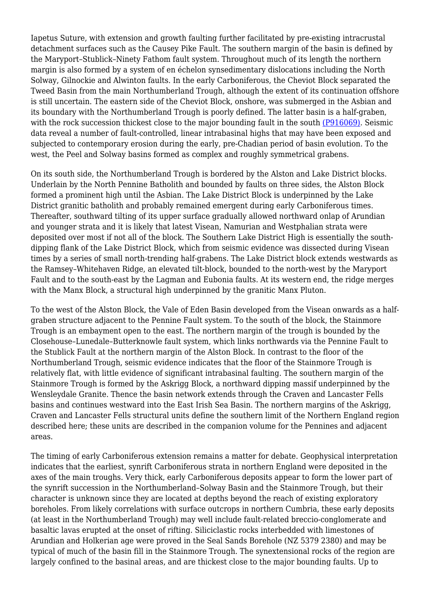Iapetus Suture, with extension and growth faulting further facilitated by pre-existing intracrustal detachment surfaces such as the Causey Pike Fault. The southern margin of the basin is defined by the Maryport–Stublick–Ninety Fathom fault system. Throughout much of its length the northern margin is also formed by a system of en échelon synsedimentary dislocations including the North Solway, Gilnockie and Alwinton faults. In the early Carboniferous, the Cheviot Block separated the Tweed Basin from the main Northumberland Trough, although the extent of its continuation offshore is still uncertain. The eastern side of the Cheviot Block, onshore, was submerged in the Asbian and its boundary with the Northumberland Trough is poorly defined. The latter basin is a half-graben, with the rock succession thickest close to the major bounding fault in the south [\(P916069\).](http://earthwise.bgs.ac.uk/images/6/6d/P916069.jpg) Seismic data reveal a number of fault-controlled, linear intrabasinal highs that may have been exposed and subjected to contemporary erosion during the early, pre-Chadian period of basin evolution. To the west, the Peel and Solway basins formed as complex and roughly symmetrical grabens.

On its south side, the Northumberland Trough is bordered by the Alston and Lake District blocks. Underlain by the North Pennine Batholith and bounded by faults on three sides, the Alston Block formed a prominent high until the Asbian. The Lake District Block is underpinned by the Lake District granitic batholith and probably remained emergent during early Carboniferous times. Thereafter, southward tilting of its upper surface gradually allowed northward onlap of Arundian and younger strata and it is likely that latest Visean, Namurian and Westphalian strata were deposited over most if not all of the block. The Southern Lake District High is essentially the southdipping flank of the Lake District Block, which from seismic evidence was dissected during Visean times by a series of small north-trending half-grabens. The Lake District block extends westwards as the Ramsey–Whitehaven Ridge, an elevated tilt-block, bounded to the north-west by the Maryport Fault and to the south-east by the Lagman and Eubonia faults. At its western end, the ridge merges with the Manx Block, a structural high underpinned by the granitic Manx Pluton.

To the west of the Alston Block, the Vale of Eden Basin developed from the Visean onwards as a halfgraben structure adjacent to the Pennine Fault system. To the south of the block, the Stainmore Trough is an embayment open to the east. The northern margin of the trough is bounded by the Closehouse–Lunedale–Butterknowle fault system, which links northwards via the Pennine Fault to the Stublick Fault at the northern margin of the Alston Block. In contrast to the floor of the Northumberland Trough, seismic evidence indicates that the floor of the Stainmore Trough is relatively flat, with little evidence of significant intrabasinal faulting. The southern margin of the Stainmore Trough is formed by the Askrigg Block, a northward dipping massif underpinned by the Wensleydale Granite. Thence the basin network extends through the Craven and Lancaster Fells basins and continues westward into the East Irish Sea Basin. The northern margins of the Askrigg, Craven and Lancaster Fells structural units define the southern limit of the Northern England region described here; these units are described in the companion volume for the Pennines and adjacent areas.

The timing of early Carboniferous extension remains a matter for debate. Geophysical interpretation indicates that the earliest, synrift Carboniferous strata in northern England were deposited in the axes of the main troughs. Very thick, early Carboniferous deposits appear to form the lower part of the synrift succession in the Northumberland–Solway Basin and the Stainmore Trough, but their character is unknown since they are located at depths beyond the reach of existing exploratory boreholes. From likely correlations with surface outcrops in northern Cumbria, these early deposits (at least in the Northumberland Trough) may well include fault-related breccio-conglomerate and basaltic lavas erupted at the onset of rifting. Siliciclastic rocks interbedded with limestones of Arundian and Holkerian age were proved in the Seal Sands Borehole (NZ 5379 2380) and may be typical of much of the basin fill in the Stainmore Trough. The synextensional rocks of the region are largely confined to the basinal areas, and are thickest close to the major bounding faults. Up to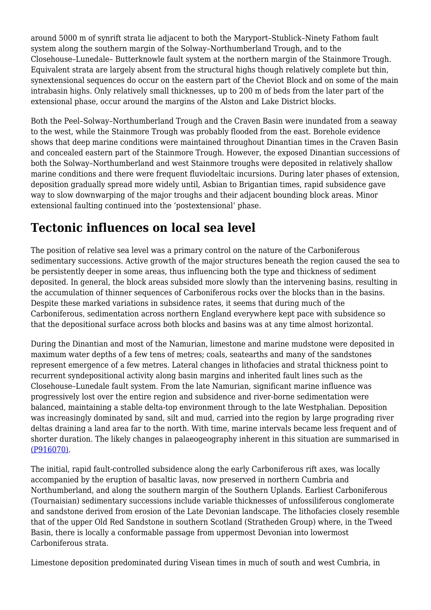around 5000 m of synrift strata lie adjacent to both the Maryport–Stublick–Ninety Fathom fault system along the southern margin of the Solway–Northumberland Trough, and to the Closehouse–Lunedale– Butterknowle fault system at the northern margin of the Stainmore Trough. Equivalent strata are largely absent from the structural highs though relatively complete but thin, synextensional sequences do occur on the eastern part of the Cheviot Block and on some of the main intrabasin highs. Only relatively small thicknesses, up to 200 m of beds from the later part of the extensional phase, occur around the margins of the Alston and Lake District blocks.

Both the Peel–Solway–Northumberland Trough and the Craven Basin were inundated from a seaway to the west, while the Stainmore Trough was probably flooded from the east. Borehole evidence shows that deep marine conditions were maintained throughout Dinantian times in the Craven Basin and concealed eastern part of the Stainmore Trough. However, the exposed Dinantian successions of both the Solway–Northumberland and west Stainmore troughs were deposited in relatively shallow marine conditions and there were frequent fluviodeltaic incursions. During later phases of extension, deposition gradually spread more widely until, Asbian to Brigantian times, rapid subsidence gave way to slow downwarping of the major troughs and their adjacent bounding block areas. Minor extensional faulting continued into the 'postextensional' phase.

# **Tectonic influences on local sea level**

The position of relative sea level was a primary control on the nature of the Carboniferous sedimentary successions. Active growth of the major structures beneath the region caused the sea to be persistently deeper in some areas, thus influencing both the type and thickness of sediment deposited. In general, the block areas subsided more slowly than the intervening basins, resulting in the accumulation of thinner sequences of Carboniferous rocks over the blocks than in the basins. Despite these marked variations in subsidence rates, it seems that during much of the Carboniferous, sedimentation across northern England everywhere kept pace with subsidence so that the depositional surface across both blocks and basins was at any time almost horizontal.

During the Dinantian and most of the Namurian, limestone and marine mudstone were deposited in maximum water depths of a few tens of metres; coals, seatearths and many of the sandstones represent emergence of a few metres. Lateral changes in lithofacies and stratal thickness point to recurrent syndepositional activity along basin margins and inherited fault lines such as the Closehouse–Lunedale fault system. From the late Namurian, significant marine influence was progressively lost over the entire region and subsidence and river-borne sedimentation were balanced, maintaining a stable delta-top environment through to the late Westphalian. Deposition was increasingly dominated by sand, silt and mud, carried into the region by large prograding river deltas draining a land area far to the north. With time, marine intervals became less frequent and of shorter duration. The likely changes in palaeogeography inherent in this situation are summarised in [\(P916070\).](http://earthwise.bgs.ac.uk/images/1/1e/P916070.jpg)

The initial, rapid fault-controlled subsidence along the early Carboniferous rift axes, was locally accompanied by the eruption of basaltic lavas, now preserved in northern Cumbria and Northumberland, and along the southern margin of the Southern Uplands. Earliest Carboniferous (Tournaisian) sedimentary successions include variable thicknesses of unfossiliferous conglomerate and sandstone derived from erosion of the Late Devonian landscape. The lithofacies closely resemble that of the upper Old Red Sandstone in southern Scotland (Stratheden Group) where, in the Tweed Basin, there is locally a conformable passage from uppermost Devonian into lowermost Carboniferous strata.

Limestone deposition predominated during Visean times in much of south and west Cumbria, in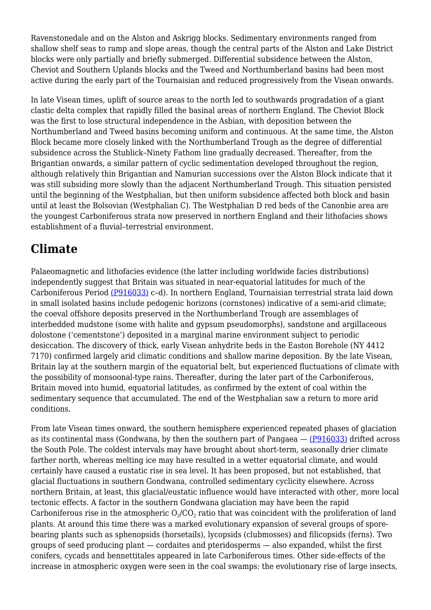Ravenstonedale and on the Alston and Askrigg blocks. Sedimentary environments ranged from shallow shelf seas to ramp and slope areas, though the central parts of the Alston and Lake District blocks were only partially and briefly submerged. Differential subsidence between the Alston, Cheviot and Southern Uplands blocks and the Tweed and Northumberland basins had been most active during the early part of the Tournaisian and reduced progressively from the Visean onwards.

In late Visean times, uplift of source areas to the north led to southwards progradation of a giant clastic delta complex that rapidly filled the basinal areas of northern England. The Cheviot Block was the first to lose structural independence in the Asbian, with deposition between the Northumberland and Tweed basins becoming uniform and continuous. At the same time, the Alston Block became more closely linked with the Northumberland Trough as the degree of differential subsidence across the Stublick–Ninety Fathom line gradually decreased. Thereafter, from the Brigantian onwards, a similar pattern of cyclic sedimentation developed throughout the region, although relatively thin Brigantian and Namurian successions over the Alston Block indicate that it was still subsiding more slowly than the adjacent Northumberland Trough. This situation persisted until the beginning of the Westphalian, but then uniform subsidence affected both block and basin until at least the Bolsovian (Westphalian C). The Westphalian D red beds of the Canonbie area are the youngest Carboniferous strata now preserved in northern England and their lithofacies shows establishment of a fluvial–terrestrial environment.

## **Climate**

Palaeomagnetic and lithofacies evidence (the latter including worldwide facies distributions) independently suggest that Britain was situated in near-equatorial latitudes for much of the Carboniferous Period [\(P916033\)](http://earthwise.bgs.ac.uk/images/5/52/P916033.jpg) c–d). In northern England, Tournaisian terrestrial strata laid down in small isolated basins include pedogenic horizons (cornstones) indicative of a semi-arid climate; the coeval offshore deposits preserved in the Northumberland Trough are assemblages of interbedded mudstone (some with halite and gypsum pseudomorphs), sandstone and argillaceous dolostone ('cementstone') deposited in a marginal marine environment subject to periodic desiccation. The discovery of thick, early Visean anhydrite beds in the Easton Borehole (NY 4412 7170) confirmed largely arid climatic conditions and shallow marine deposition. By the late Visean, Britain lay at the southern margin of the equatorial belt, but experienced fluctuations of climate with the possibility of monsoonal-type rains. Thereafter, during the later part of the Carboniferous, Britain moved into humid, equatorial latitudes, as confirmed by the extent of coal within the sedimentary sequence that accumulated. The end of the Westphalian saw a return to more arid conditions.

From late Visean times onward, the southern hemisphere experienced repeated phases of glaciation as its continental mass (Gondwana, by then the southern part of Pangaea  $-$  ( $P916033$ ) drifted across the South Pole. The coldest intervals may have brought about short-term, seasonally drier climate farther north, whereas melting ice may have resulted in a wetter equatorial climate, and would certainly have caused a eustatic rise in sea level. It has been proposed, but not established, that glacial fluctuations in southern Gondwana, controlled sedimentary cyclicity elsewhere. Across northern Britain, at least, this glacial/eustatic influence would have interacted with other, more local tectonic effects. A factor in the southern Gondwana glaciation may have been the rapid Carboniferous rise in the atmospheric  $\rm O_2/CO_2$  ratio that was coincident with the proliferation of land plants. At around this time there was a marked evolutionary expansion of several groups of sporebearing plants such as sphenopsids (horsetails), lycopsids (clubmosses) and filicopsids (ferns). Two groups of seed producing plant — cordaites and pteridosperms — also expanded, whilst the first conifers, cycads and bennettitales appeared in late Carboniferous times. Other side-effects of the increase in atmospheric oxygen were seen in the coal swamps: the evolutionary rise of large insects,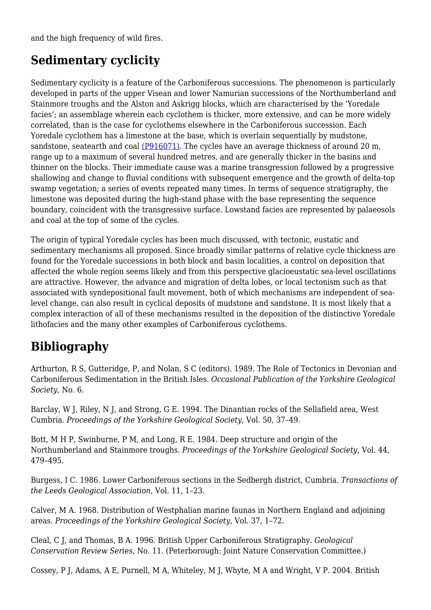and the high frequency of wild fires.

### **Sedimentary cyclicity**

Sedimentary cyclicity is a feature of the Carboniferous successions. The phenomenon is particularly developed in parts of the upper Visean and lower Namurian successions of the Northumberland and Stainmore troughs and the Alston and Askrigg blocks, which are characterised by the 'Yoredale facies'; an assemblage wherein each cyclothem is thicker, more extensive, and can be more widely correlated, than is the case for cyclothems elsewhere in the Carboniferous succession. Each Yoredale cyclothem has a limestone at the base, which is overlain sequentially by mudstone, sandstone, seatearth and coal [\(P916071\)](http://earthwise.bgs.ac.uk/images/b/bf/P916071.jpg). The cycles have an average thickness of around 20 m, range up to a maximum of several hundred metres, and are generally thicker in the basins and thinner on the blocks. Their immediate cause was a marine transgression followed by a progressive shallowing and change to fluvial conditions with subsequent emergence and the growth of delta-top swamp vegetation; a series of events repeated many times. In terms of sequence stratigraphy, the limestone was deposited during the high-stand phase with the base representing the sequence boundary, coincident with the transgressive surface. Lowstand facies are represented by palaeosols and coal at the top of some of the cycles.

The origin of typical Yoredale cycles has been much discussed, with tectonic, eustatic and sedimentary mechanisms all proposed. Since broadly similar patterns of relative cycle thickness are found for the Yoredale successions in both block and basin localities, a control on deposition that affected the whole region seems likely and from this perspective glacioeustatic sea-level oscillations are attractive. However, the advance and migration of delta lobes, or local tectonism such as that associated with syndepositional fault movement, both of which mechanisms are independent of sealevel change, can also result in cyclical deposits of mudstone and sandstone. It is most likely that a complex interaction of all of these mechanisms resulted in the deposition of the distinctive Yoredale lithofacies and the many other examples of Carboniferous cyclothems.

# **Bibliography**

Arthurton, R S, Gutteridge, P, and Nolan, S C (editors). 1989. The Role of Tectonics in Devonian and Carboniferous Sedimentation in the British Isles. *Occasional Publication of the Yorkshire Geological Society*, No. 6.

Barclay, W J, Riley, N J, and Strong, G E. 1994. The Dinantian rocks of the Sellafield area, West Cumbria. *Proceedings of the Yorkshire Geological Society*, Vol. 50, 37–49.

Bott, M H P, Swinburne, P M, and Long, R E. 1984. Deep structure and origin of the Northumberland and Stainmore troughs. *Proceedings of the Yorkshire Geological Society*, Vol. 44, 479–495.

Burgess, I C. 1986. Lower Carboniferous sections in the Sedbergh district, Cumbria. *Transactions of the Leeds Geological Association*, Vol. 11, 1–23.

Calver, M A. 1968. Distribution of Westphalian marine faunas in Northern England and adjoining areas. *Proceedings of the Yorkshire Geological Society*, Vol. 37, 1–72.

Cleal, C J, and Thomas, B A. 1996. British Upper Carboniferous Stratigraphy. *Geological Conservation Review Series*, No. 11. (Peterborough: Joint Nature Conservation Committee.)

Cossey, P J, Adams, A E, Purnell, M A, Whiteley, M J, Whyte, M A and Wright, V P. 2004. British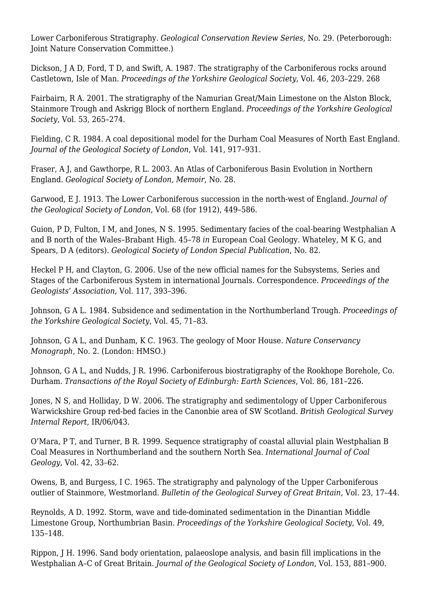Lower Carboniferous Stratigraphy. *Geological Conservation Review Series*, No. 29. (Peterborough: Joint Nature Conservation Committee.)

Dickson, J A D, Ford, T D, and Swift, A. 1987. The stratigraphy of the Carboniferous rocks around Castletown, Isle of Man. *Proceedings of the Yorkshire Geological Society*, Vol. 46, 203–229. 268

Fairbairn, R A. 2001. The stratigraphy of the Namurian Great/Main Limestone on the Alston Block, Stainmore Trough and Askrigg Block of northern England. *Proceedings of the Yorkshire Geological Society*, Vol. 53, 265–274.

Fielding, C R. 1984. A coal depositional model for the Durham Coal Measures of North East England. *Journal of the Geological Society of London*, Vol. 141, 917–931.

Fraser, A J, and Gawthorpe, R L. 2003. An Atlas of Carboniferous Basin Evolution in Northern England. *Geological Society of London, Memoir*, No. 28.

Garwood, E J. 1913. The Lower Carboniferous succession in the north-west of England. *Journal of the Geological Society of London*, Vol. 68 (for 1912), 449–586.

Guion, P D, Fulton, I M, and Jones, N S. 1995. Sedimentary facies of the coal-bearing Westphalian A and B north of the Wales–Brabant High. 45–78 *in* European Coal Geology. Whateley, M K G, and Spears, D A (editors). *Geological Society of London Special Publication*, No. 82.

Heckel P H, and Clayton, G. 2006. Use of the new official names for the Subsystems, Series and Stages of the Carboniferous System in international Journals. Correspondence. *Proceedings of the Geologists' Association*, Vol. 117, 393–396.

Johnson, G A L. 1984. Subsidence and sedimentation in the Northumberland Trough. *Proceedings of the Yorkshire Geological Society*, Vol. 45, 71–83.

Johnson, G A L, and Dunham, K C. 1963. The geology of Moor House. *Nature Conservancy Monograph*, No. 2. (London: HMSO.)

Johnson, G A L, and Nudds, J R. 1996. Carboniferous biostratigraphy of the Rookhope Borehole, Co. Durham. *Transactions of the Royal Society of Edinburgh: Earth Sciences*, Vol. 86, 181–226.

Jones, N S, and Holliday, D W. 2006. The stratigraphy and sedimentology of Upper Carboniferous Warwickshire Group red-bed facies in the Canonbie area of SW Scotland. *British Geological Survey Internal Report*, IR/06/043.

O'Mara, P T, and Turner, B R. 1999. Sequence stratigraphy of coastal alluvial plain Westphalian B Coal Measures in Northumberland and the southern North Sea. *International Journal of Coal Geology*, Vol. 42, 33–62.

Owens, B, and Burgess, I C. 1965. The stratigraphy and palynology of the Upper Carboniferous outlier of Stainmore, Westmorland. *Bulletin of the Geological Survey of Great Britain*, Vol. 23, 17–44.

Reynolds, A D. 1992. Storm, wave and tide-dominated sedimentation in the Dinantian Middle Limestone Group, Northumbrian Basin. *Proceedings of the Yorkshire Geological Society*, Vol. 49, 135–148.

Rippon, J H. 1996. Sand body orientation, palaeoslope analysis, and basin fill implications in the Westphalian A–C of Great Britain. *Journal of the Geological Society of London*, Vol. 153, 881–900.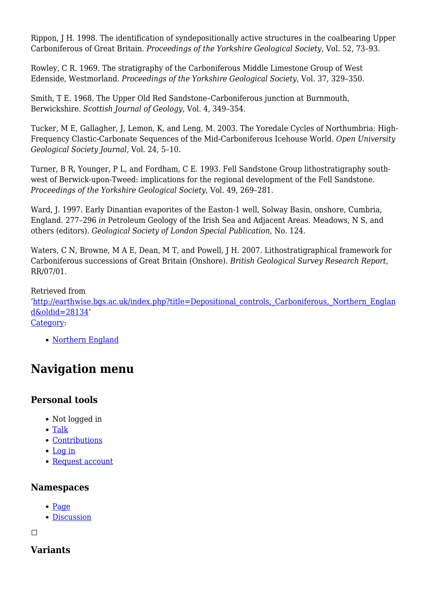Rippon, J H. 1998. The identification of syndepositionally active structures in the coalbearing Upper Carboniferous of Great Britain. *Proceedings of the Yorkshire Geological Society*, Vol. 52, 73–93.

Rowley, C R. 1969. The stratigraphy of the Carboniferous Middle Limestone Group of West Edenside, Westmorland. *Proceedings of the Yorkshire Geological Society*, Vol. 37, 329–350.

Smith, T E. 1968. The Upper Old Red Sandstone–Carboniferous junction at Burnmouth, Berwickshire. *Scottish Journal of Geology*, Vol. 4, 349–354.

Tucker, M E, Gallagher, J, Lemon, K, and Leng, M. 2003. The Yoredale Cycles of Northumbria: High-Frequency Clastic-Carbonate Sequences of the Mid-Carboniferous Icehouse World. *Open University Geological Society Journal*, Vol. 24, 5–10.

Turner, B R, Younger, P L, and Fordham, C E. 1993. Fell Sandstone Group lithostratigraphy southwest of Berwick-upon-Tweed: implications for the regional development of the Fell Sandstone. *Proceedings of the Yorkshire Geological Society*, Vol. 49, 269–281.

Ward, J. 1997. Early Dinantian evaporites of the Easton-1 well, Solway Basin, onshore, Cumbria, England. 277–296 *in* Petroleum Geology of the Irish Sea and Adjacent Areas. Meadows, N S, and others (editors). *Geological Society of London Special Publication*, No. 124.

Waters, C N, Browne, M A E, Dean, M T, and Powell, J H. 2007. Lithostratigraphical framework for Carboniferous successions of Great Britain (Onshore). *British Geological Survey Research Report*, RR/07/01.

Retrieved from

'[http://earthwise.bgs.ac.uk/index.php?title=Depositional\\_controls,\\_Carboniferous,\\_Northern\\_Englan](http://earthwise.bgs.ac.uk/index.php?title=Depositional_controls,_Carboniferous,_Northern_England&oldid=28134) [d&oldid=28134](http://earthwise.bgs.ac.uk/index.php?title=Depositional_controls,_Carboniferous,_Northern_England&oldid=28134)'

[Category](http://earthwise.bgs.ac.uk/index.php/Special:Categories):

• [Northern England](http://earthwise.bgs.ac.uk/index.php/Category:Northern_England)

# **Navigation menu**

#### **Personal tools**

- Not logged in
- [Talk](http://earthwise.bgs.ac.uk/index.php/Special:MyTalk)
- [Contributions](http://earthwise.bgs.ac.uk/index.php/Special:MyContributions)
- [Log in](http://earthwise.bgs.ac.uk/index.php?title=Special:UserLogin&returnto=Depositional+controls%2C+Carboniferous%2C+Northern+England&returntoquery=action%3Dmpdf)
- [Request account](http://earthwise.bgs.ac.uk/index.php/Special:RequestAccount)

#### **Namespaces**

- [Page](http://earthwise.bgs.ac.uk/index.php/Depositional_controls,_Carboniferous,_Northern_England)
- [Discussion](http://earthwise.bgs.ac.uk/index.php?title=Talk:Depositional_controls,_Carboniferous,_Northern_England&action=edit&redlink=1)

 $\Box$ 

#### **Variants**